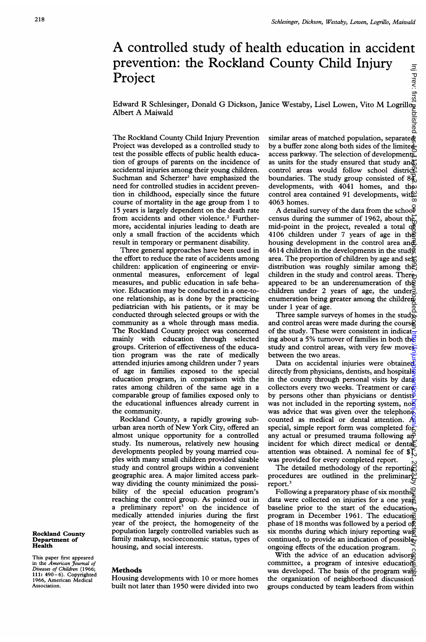# A controlled study of health education in accident prevention: the Rockland County Child Injury **Project** Project<br>
Edward R Schlesinger, Donald G Dickson, Janice Westaby, Lisel Lowen, Vito M Logrillo, and<br>
Albert A Maiwald<br>
Albert A Maiwald

Albert A Maiwald

The Rockland County Child Injury Prevention Project was developed as a controlled study to test the possible effects of public health education of groups of parents on the incidence of accidental injuries among their young children. Suchman and Scherzer' have emphasized the need for controlled studies in accident prevention in childhood, especially since the future course of mortality in the age group from <sup>1</sup> to 15 years is largely dependent on the death rate from accidents and other violence.<sup>2</sup> Furthermore, accidental injuries leading to death are only a small fraction of the accidents which result in temporary or permanent disability.

Three general approaches have been used in the effort to reduce the rate of accidents among children: application of engineering or environmental measures, enforcement of legal measures, and public education in safe behavior. Education may be conducted in a one-toone relationship, as is done by the practicing pediatrician with his patients, or it may be conducted through selected groups or with the community as a whole through mass media. The Rockland County project was concerned mainly with education through selected groups. Criterion of effectiveness of the education program was the rate of medically attended injuries among children under 7 years of age in families exposed to the special education program, in comparison with the rates among children of the same age in a comparable group of families exposed only to the educational influences already current in the community.

Rockland County, a rapidly growing suburban area north of New York City, offered an almost unique opportunity for a controlled study. Its numerous, relatively new housing developments peopled by young married couples with many small children provided sizable study and control groups within a convenient geographic area. A major limited access parkway dividing the county minimized the possibility of the special education program's reaching the control group. As pointed out in a preliminary report<sup>3</sup> on the incidence of medically attended injuries during the first year of the project, the homogeneity of the population largely controlled variables such as family makeup, socioeconomic status, types of housing, and social interests.

## Health

This paper first appeared in the *American Tournal of* Diseases of Children (1966; 111: 490-6). Copyrighted 1966, American Medical Association.

Rockland County Department of

#### Methods

Housing developments with 10 or more homes built not later than 1950 were divided into two similar areas of matched population, separated by a buffer zone along both sides of the limited access parkway. The selection of developments. as units for the study ensured that study and control areas would follow school district boundaries. The study group consisted of  $8\frac{2}{5}$ developments, with 4041 homes, and the control area contained 91 developments, with 4063 homes.

A detailed survey of the data from the school census during the summer of 1962, about the mid-point in the project, revealed a total of  $4106$  children under 7 years of age in the housing development in the control area and 4614 children in the developments in the stud $\tilde{\mathbb{Q}}$ area. The proportion of children by age and sexdistribution was roughly similar among they children in the study and control areas. There appeared to be an underenumeration of the children under 2 years of age, the under $\frac{5}{2}$ enumeration being greater among the children under <sup>1</sup> year of age.

Three sample surveys of homes in the study. and control areas were made during the course of the study. These were consistent in indicat $\frac{1}{2}$ ing about a 5% turnover of families in both the study and control areas, with very few moves between the two areas.

Data on accidental injuries were obtained directly from physicians, dentists, and hospitals in the county through personal visits by data collectors every two weeks. Treatment or care by persons other than physicians or dentists was not included in the reporting system, norwas advice that was given over the telephone counted as medical or dental attention.  $\mathcal{A}$ special, simple report form was completed for any actual or presumed trauma following an incident for which direct medical or dental attention was obtained. A nominal fee of  $\frac{1}{2}$ was provided for every completed report.  $\sigma$  July 2, 2022 by guest. Protected by  $\sigma_{\rm B}$  and  $\sigma_{\rm B}$  as  $\sigma_{\rm B}$  and  $\sigma_{\rm B}$  and  $\sigma_{\rm B}$  and  $\sigma_{\rm B}$  and  $\sigma_{\rm B}$  and  $\sigma_{\rm B}$  and  $\sigma_{\rm B}$  and  $\sigma_{\rm B}$  and  $\sigma_{\rm B}$  and  $\sigma_{\rm B}$  and  $\sigma_{\rm B}$  and

The detailed methodology of the reporting procedures are outlined in the preliminary report.<sup>3</sup>

Following a preparatory phase of six monthse data were collected on injuries for a one year. baseline prior to the start of the educationprogram in December 1961. The educations phase of 18 months was followed by a period of six months during which injury reporting was continued, to provide an indication of possible ongoing effects of the education program.

With the advice of an education advisory committee, a program of intesive educations was developed. The basis of the program was the organization of neighborhood discussion groups conducted by team leaders from within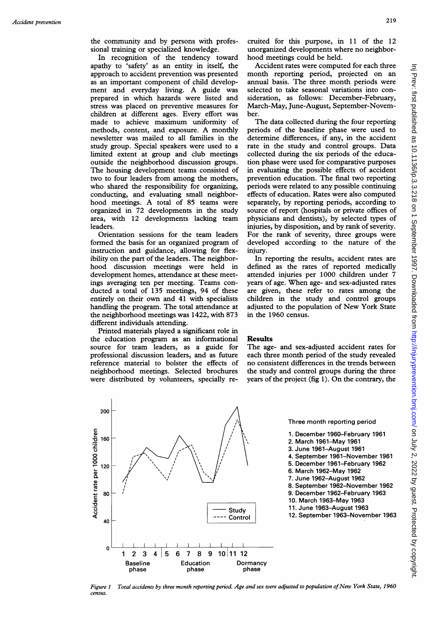the community and by persons with professional training or specialized knowledge.

In recognition of the tendency toward apathy to 'safety' as an entity in itself, the approach to accident prevention was presented as an important component of child development and everyday living. A guide was prepared in which hazards were listed and stress was placed on preventive measures for children at different ages. Every effort was made to achieve maximum uniformity of methods, content, and exposure. A monthly newsletter was mailed to all families in the study group. Special speakers were used to a limited extent at group and club meetings outside the neighborhood discussion groups. The housing development teams consisted of two to four leaders from among the mothers, who shared the responsibility for organizing, conducting, and evaluating small neighborhood meetings. A total of <sup>85</sup> teams were organized in 72 developments in the study area, with 12 developments lacking team leaders.

Orientation sessions for the team leaders formed the basis for an organized program of instruction and guidance, allowing for flexibility on the part of the leaders. The neighborhood discussion meetings were held in development homes, attendance at these meetings averaging ten per meeting. Teams conducted a total of 135 meetings, 94 of these entirely on their own and 41 with specialists handling the program. The total attendance at the neighborhood meetings was 1422, with 873 different individuals attending.

Printed materials played a significant role in the education program as an informational source for team leaders, as a guide for professional discussion leaders, and as future reference material to bolster the effects of neighborhood meetings. Selected brochures were distributed by volunteers, specially re-

**200** 

160

120

80K

 $\epsilon$ 

ہ<br>0 0) a. a) cruited for this purpose, in 11 of the 12 unorganized developments where no neighborhood meetings could be held.

Accident rates were computed for each three month reporting period, projected on an annual basis. The three month periods were selected to take seasonal variations into consideration, as follows: December-February, March-May, June-August, September-November.

The data collected during the four reporting periods of the baseline phase were used to determine differences, if any, in the accident rate in the study and control groups. Data collected during the six periods of the education phase were used for comparative purposes in evaluating the possible effects of accident prevention education. The final two reporting periods were related to any possible continuing effects of education. Rates were also computed separately, by reporting periods, according to source of report (hospitals or private offices of physicians and dentists), by selected types of injuries, by disposition, and by rank of severity. For the rank of severity, three groups were developed according to the nature of the injury.

In reporting the results, accident rates are defined as the rates of reported medically attended injuries per 1000 children under 7 years of age. When age- and sex-adjusted rates are given, these refer to rates among the children in the study and control groups adjusted to the population of New York State in the 1960 census.

#### Results

The age- and sex-adjusted accident rates for each three month period of the study revealed no consistent differences in the trends between the study and control groups during the three years of the project (fig 1). On the contrary, the

> Three month reporting period 1. December 1960-February 1961 2. March 1961-May 1961 3. June 1961-August 1961

4. September 1961-November 1961 5. December 1961-February 1962 6. March 1962-May 1962 7. June 1962-August 1962

8. September 1962-November 1962 9. December 1962-February 1963



Figure <sup>1</sup> Total accidents by three month reporting period. Age and sex were adjusted to population ofNew York State, 1960 census.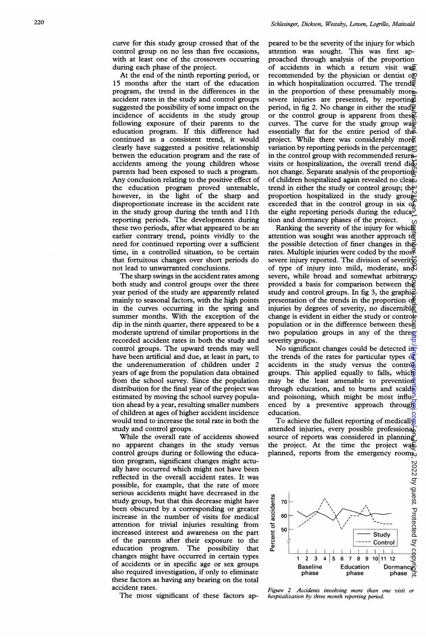curve for this study group crossed that of the control group on no less than five occasions, with at least one of the crossovers occurring during each phase of the project.

At the end of the ninth reporting period, or 15 months after the start of the education program, the trend in the differences in the accident rates in the study and control groups suggested the possibility of some impact on the incidence of accidents in the study group following exposure of their parents to the education program. If this difference had continued as a consistent trend, it would clearly have suggested a positive relationship betwen the education program and the rate of accidents among the young children whose parents had been exposed to such a program. Any conclusion relating to the positive effect of the education program proved untenable, however, in the light of the sharp and disproportionate increase in the accident rate in the study group during the tenth and 11th reporting periods. The developments during these two periods, after what appeared to be an earlier contrary trend, points vividly to the need for continued reporting over a sufficient time, in a controlled situation, to be certain that fortuitous changes over short periods do not lead to unwarranted conclusions.

The sharp swings in the accident rates among both study and control groups over the three year period of the study are apparently related mainly to seasonal factors, with the high points in the curves occurring in the spring and summer months. With the exception of the dip in the ninth quarter, there appeared to be a moderate uptrend of similar proportions in the recorded accident rates in both the study and control groups. The upward trends may well have been artificial and due, at least in part, to the underenumeration of children under 2 years of age from the population data obtained from the school survey. Since the population distribution for the final year of the project was estimated by moving the school survey population ahead by a year, resulting smaller numbers of children at ages of higher accident incidence would tend to increase the total rate in both the study and control groups.

While the overall rate of accidents showed no apparent changes in the study versus control groups during or following the education program, significant changes might actually have occurred which might not have been reflected in the overall accident rates. It was possible, for example, that the rate of more serious accidents might have decreased in the study group, but that this decrease might have been obscured by a corresponding or greater increase in the number of visits for medical attention for trivial injuries resulting from increased interest and awareness on the part of the parents after their exposure to the education program. The possibility that changes might have occurred in certain types of accidents or in specific age or sex groups also required investigation, if only to eliminate these factors as having any bearing on the total accident rates.

The most significant of these factors ap-

peared to be the severity of the injury for which attention was sought. This was first approached through analysis of the proportion of accidents in which a return visit wa**s** recommended by the physician or dentist or in which hospitalization occurred. The trend $\mathfrak g$ in the proportion of these presumably more. severe injuries are presented, by reporting! period, in fig 2. No change in either the stud $\mathcal{P}$ or the control group is apparent from these curves. The curve for the study group was essentially flat for the entire period of the project. While there was considerably more variation by reporting periods in the percentages in the control group with recommended returnvisits or hospitalization, the overall trend did not change. Separate analysis of the proportion of children hospitalized again revealed no clear, trend in either the study or control group; the proportion hospitalized in the study group. exceeded that in the control group in six of the eight reporting periods during the educa<sup>=</sup> tion and dormancy phases of the project. on July 100 Aq Debast. Protected by Guest. Protect 1998. Pownloaded from Burger Previously 2, 2022 by the Univ

Ranking the severity of the injury for which attention was sought was another approach to the possible detection of finer changes in the rates. Multiple injuries were coded by the most severe injury reported. The division of severity of type of injury into mild, moderate, and severe, while broad and somewhat arbitrary provided a basis for comparison between th $\mathcal{\S}$ study and control groups. In fig 3, the graphi $\epsilon$ presentation of the trends in the proportion of injuries by degrees of severity, no discernible change is evident in either the study or control population or in the difference between thesetwo population groups in any of the three severity groups.

No significant changes could be detected in the trends of the rates for particular types  $\overline{of}$ accidents in the study versus the control groups. This applied equally to falls, which may be the least amenable to prevention through education, and to burns and scald $\vec{s}$ and poisoning, which might be most influenced by a preventive approach through education.

To achieve the fullest reporting of medically attended injuries, every possible professional source of reports was considered in planning the project. At the time the project was planned, reports from the emergency rooms



Figure 2 Accidents involving more than one visit or hospitalization by three month reporting period.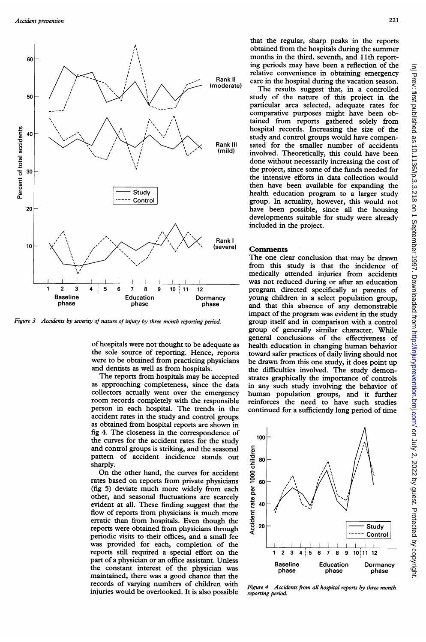

Figure 3 Accidents by severity of nature of injury by three month reporting period.

of hospitals were not thought to be adequate as the sole source of reporting. Hence, reports were to be obtained from practicing physicians and dentists as well as from hospitals.

The reports from hospitals may be accepted as approaching completeness, since the data collectors actually went over the emergency room records completely with the responsible person in each hospital. The trends in the accident rates in the study and control groups as obtained from hospital reports are shown in fig 4. The closeness in the correspondence of the curves for the accident rates for the study and control groups is striking, and the seasonal pattern of accident incidence stands out sharply.

On the other hand, the curves for accident rates based on reports from private physicians (fig 5) deviate much more widely from each other, and seasonal fluctuations are scarcely evident at all. These finding suggest that the flow of reports from physicians is much more erratic than from hospitals. Even though the reports were obtained from physicians through periodic visits to their offices, and a small fee was provided for each, completion of the reports still required a special effort on the part of a physician or an office assistant. Unless the constant interest of the physician was maintained, there was a good chance that the records of varying numbers of children with injuries would be overlooked. It is also possible

that the regular, sharp peaks in the reports obtained from the hospitals during the summer months in the third, seventh, and <sup>1</sup> lth reporting periods may have been a reflection of the relative convenience in obtaining emergency Rank II care in the hospital during the vacation season.<br>(moderate) The results suggest that, in a controlled

study of the nature of this project in the particular area selected, adequate rates for comparative purposes might have been obtained from reports gathered solely from hospital records. Increasing the size of the study and control groups would have compen-Rank III sated for the smaller number of accidents<br>(mild) involved Theoretically this sould have have involved. Theoretically, this could have been done without necessarily increasing the cost of the project, since some of the funds needed for the intensive efforts in data collection would then have been available for expanding the health education program to a larger study group. In actuality, however, this would not have been possible, since all the housing developments suitable for study were already included in the project.

#### **Comments**

The one clear conclusion that may be drawn from this study is that the incidence of medically attended injuries from accidents was not reduced during or after an education program directed specifically at parents of young children in a select population group, and that this absence of any demonstrable impact of the program was evident in the study group itself and in comparison with a control group of generally similar character. While general conclusions of the effectiveness of health education in changing human behavior toward safer practices of daily living should not be drawn from this one study, it does point up the difficulties involved. The study demonstrates graphically the importance of controls in any such study involving the behavior of human population groups, and it further reinforces the need to have such studies continued for a sufficiently long period of time



Figure 4 Accidents from aU hospital reports by three month reporting period.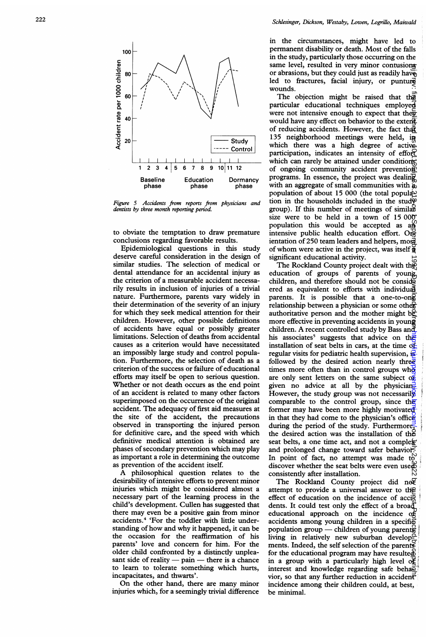

Figure 5 Accidents from reports from physicians and dentists by three month reporting period.

to obviate the temptation to draw conclusions regarding favorable resu

Epidemiological questions in this study deserve careful consideration in the design of similar studies. The selection of medical or dental attendance for an accidental injury as the criterion of a measurable accident necessarily results in inclusion of injuries of a trivial nature. Furthermore, parents vary widely in their determination of the severity of an injury for which they seek medical attention for their children. However, other possible definitions of accidents have equal or possib limitations. Selection of deaths from accidental causes as a criterion would have ne an impossibly large study and contr tion. Furthermore, the selection of death as a criterion of the success or failure of educational efforts may itself be open to serious Whether or not death occurs as the end point of an accident is related to many other factors superimposed on the occurrence of the original accident. The adequacy of first aid m the site of the accident, the precautions observed in transporting the injured person for definitive care, and the speed with which definitive medical attention is obtained are phases of secondary prevention which may play as important a role in determining the outcome as prevention of the accident itself.

A philosophical question relate desirability of intensive efforts to prev injuries which might be considered necessary part of the learning proc child's development. Cullen has sugg there may even be a positive gain from minor accidents.<sup>4</sup> 'For the toddler with little understanding of how and why it happened, it can be the occasion for the reaffirmation of his parents' love and concern for him older child confronted by a distinctly unpleasant side of reality  $-$  pain  $-$  there is a chance to learn to tolerate something which hurts, incapacitates, and thwarts'.

On the other hand, there are many minor injuries which, for a seemingly trivial difference

in the circumstances, might have led to permanent disability or death. Most of the falls in the study, particularly those occurring on the same level, resulted in very minor contusions or abrasions, but they could just as readily have led to fractures, facial injury, or punture wounds.

The objection might be raised that the particular educational techniques employed were not intensive enough to expect that the would have any effect on behavior to the exten $\overline{\mathbf{R}}$ of reducing accidents. However, the fact that Study 135 neighborhood meetings were held, in Control which there was a high degree of active<br>Control positionalized indicates an intensity of  $\mathcal{E}$ . participation, indicates an intensity of effor LI which can rarely be attained under conditions. of ongoing community accident prevention Dormancy programs. In essence, the project was dealing with an aggregate of small communities with  $\tilde{a}$ population of about 15 000 (the total population in the households included in the study group). If this number of meetings of similar size were to be held in a town of  $15000$ population this would be accepted as  $a_n^{\gamma}$ intensive public health education effort. Orientation of 250 team leaders and helpers, most of whom were active in the project, was itself  $\underline{\mathbf{\check{q}}}$ significant educational activity.

The Rockland County project dealt with the education of groups of parents of young children, and therefore should not be considered ered as equivalent to efforts with individual parents. It is possible that a one-to-on $\overline{R}$ relationship between a physician or some other authoritative person and the mother might bemore effective in preventing accidents in young children. A recent controlled study by Bass and his associates<sup>5</sup> suggests that advice on the installation of seat belts in cars, at the time of regular visits for pediatric health supervision,  $\frac{1}{2}$ followed by the desired action nearly three times more often than in control groups who are only sent letters on the same subject or given no advice at all by the physician. However, the study group was not necessarily comparable to the control group, since the former may have been more highly motivated in that they had come to the physician's office during the period of the study. Furthermore, the desired action was the installation of the seat belts, a one time act, and not a complexand prolonged change toward safer behavior. In point of fact, no attempt was made to discover whether the seat belts were even used consistently after installation. on July 2, 2, 2022 by guest. Protected by copyright. Protection in the very published as the published as 1998 of Developing the published as 113.218.218.114 on 1998. Developing the Here 1998. Downloaded from 1998. Downloa

The Rockland County project did not attempt to provide a universal answer to the effect of education on the incidence of acci $\frac{1}{60}$ dents. It could test only the effect of a broad educational approach on the incidence of accidents among young children in a specific population group - children of young parents living in relatively new suburban developments. Indeed, the self selection of the parents for the educational program may have resulted in a group with a particularly high level of interest and knowledge regarding safe beha $\bar{p}$ vior, so that any further reduction in accident incidence among their children could, at best, be minimal.